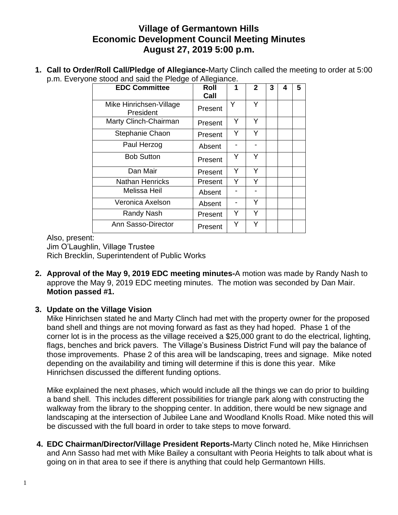## **Village of Germantown Hills Economic Development Council Meeting Minutes August 27, 2019 5:00 p.m.**

**1. Call to Order/Roll Call/Pledge of Allegiance-**Marty Clinch called the meeting to order at 5:00 p.m. Everyone stood and said the Pledge of Allegiance.

| <b>EDC Committee</b>                 | Roll    | 1 | $\mathbf{2}$ | 3 | 4 | 5 |
|--------------------------------------|---------|---|--------------|---|---|---|
|                                      | Call    |   |              |   |   |   |
| Mike Hinrichsen-Village<br>President | Present | Y | Y            |   |   |   |
| Marty Clinch-Chairman                | Present | Y | Y            |   |   |   |
| Stephanie Chaon                      | Present | Y | Y            |   |   |   |
| Paul Herzog                          | Absent  |   |              |   |   |   |
| <b>Bob Sutton</b>                    | Present | Υ | Y            |   |   |   |
| Dan Mair                             | Present | Y | Y            |   |   |   |
| <b>Nathan Henricks</b>               | Present | Y | Y            |   |   |   |
| Melissa Heil                         | Absent  |   |              |   |   |   |
| Veronica Axelson                     | Absent  |   | Y            |   |   |   |
| Randy Nash                           | Present | Y | Y            |   |   |   |
| Ann Sasso-Director                   | Present | Y | Υ            |   |   |   |

Also, present:

Jim O'Laughlin, Village Trustee Rich Brecklin, Superintendent of Public Works

**2. Approval of the May 9, 2019 EDC meeting minutes-**A motion was made by Randy Nash to approve the May 9, 2019 EDC meeting minutes. The motion was seconded by Dan Mair. **Motion passed #1.**

## **3. Update on the Village Vision**

Mike Hinrichsen stated he and Marty Clinch had met with the property owner for the proposed band shell and things are not moving forward as fast as they had hoped. Phase 1 of the corner lot is in the process as the village received a \$25,000 grant to do the electrical, lighting, flags, benches and brick pavers. The Village's Business District Fund will pay the balance of those improvements. Phase 2 of this area will be landscaping, trees and signage. Mike noted depending on the availability and timing will determine if this is done this year. Mike Hinrichsen discussed the different funding options.

Mike explained the next phases, which would include all the things we can do prior to building a band shell. This includes different possibilities for triangle park along with constructing the walkway from the library to the shopping center. In addition, there would be new signage and landscaping at the intersection of Jubilee Lane and Woodland Knolls Road. Mike noted this will be discussed with the full board in order to take steps to move forward.

**4. EDC Chairman/Director/Village President Reports-**Marty Clinch noted he, Mike Hinrichsen and Ann Sasso had met with Mike Bailey a consultant with Peoria Heights to talk about what is going on in that area to see if there is anything that could help Germantown Hills.